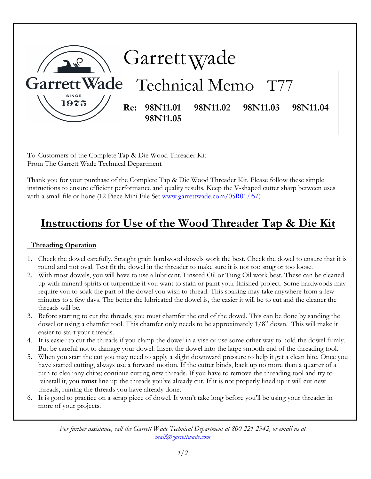

To Customers of the Complete Tap & Die Wood Threader Kit From The Garrett Wade Technical Department

Thank you for your purchase of the Complete Tap & Die Wood Threader Kit. Please follow these simple instructions to ensure efficient performance and quality results. Keep the V-shaped cutter sharp between uses with a small file or hone (12 Piece Mini File Set www.garrettwade.com/05R01.05/)

## Instructions for Use of the Wood Threader Tap & Die Kit

## Threading Operation

- 1. Check the dowel carefully. Straight grain hardwood dowels work the best. Check the dowel to ensure that it is round and not oval. Test fit the dowel in the threader to make sure it is not too snug or too loose.
- 2. With most dowels, you will have to use a lubricant. Linseed Oil or Tung Oil work best. These can be cleaned up with mineral spirits or turpentine if you want to stain or paint your finished project. Some hardwoods may require you to soak the part of the dowel you wish to thread. This soaking may take anywhere from a few minutes to a few days. The better the lubricated the dowel is, the easier it will be to cut and the cleaner the threads will be.
- 3. Before starting to cut the threads, you must chamfer the end of the dowel. This can be done by sanding the dowel or using a chamfer tool. This chamfer only needs to be approximately 1/8" down. This will make it easier to start your threads.
- 4. It is easier to cut the threads if you clamp the dowel in a vise or use some other way to hold the dowel firmly. But be careful not to damage your dowel. Insert the dowel into the large smooth end of the threading tool.
- 5. When you start the cut you may need to apply a slight downward pressure to help it get a clean bite. Once you have started cutting, always use a forward motion. If the cutter binds, back up no more than a quarter of a turn to clear any chips; continue cutting new threads. If you have to remove the threading tool and try to reinstall it, you **must** line up the threads you've already cut. If it is not properly lined up it will cut new threads, ruining the threads you have already done.
- 6. It is good to practice on a scrap piece of dowel. It won't take long before you'll be using your threader in more of your projects.

For further assistance, call the Garrett Wade Technical Department at 800 221 2942, or email us at mail@garrettwade.com